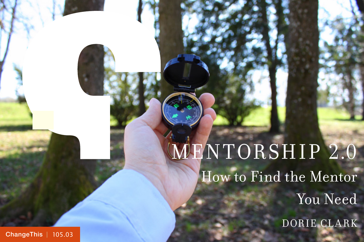MENTORSHIP 2.0 How to Find the Mentor You Need

DORIE CLARK

[ChangeThis](http://changethis.com) | 105.03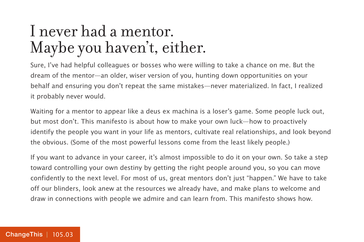## I never had a mentor. Maybe you haven't, either.

Sure, I've had helpful colleagues or bosses who were willing to take a chance on me. But the dream of the mentor—an older, wiser version of you, hunting down opportunities on your behalf and ensuring you don't repeat the same mistakes—never materialized. In fact, I realized it probably never would.

Waiting for a mentor to appear like a deus ex machina is a loser's game. Some people luck out, but most don't. This manifesto is about how to make your own luck—how to proactively identify the people you want in your life as mentors, cultivate real relationships, and look beyond the obvious. (Some of the most powerful lessons come from the least likely people.)

If you want to advance in your career, it's almost impossible to do it on your own. So take a step toward controlling your own destiny by getting the right people around you, so you can move confidently to the next level. For most of us, great mentors don't just "happen." We have to take off our blinders, look anew at the resources we already have, and make plans to welcome and draw in connections with people we admire and can learn from. This manifesto shows how.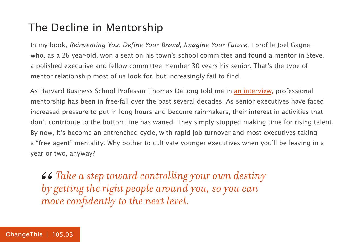#### The Decline in Mentorship

In my book, Reinventing You: Define Your Brand, Imagine Your Future, I profile Joel Gagnewho, as a 26 year-old, won a seat on his town's school committee and found a mentor in Steve, a polished executive and fellow committee member 30 years his senior. That's the type of mentor relationship most of us look for, but increasingly fail to find.

As Harvard Business School Professor Thomas DeLong told me in [an interview](http://www.forbes.com/sites/dorieclark/2012/09/07/is-your-job-warping-your-personality/), professional mentorship has been in free-fall over the past several decades. As senior executives have faced increased pressure to put in long hours and become rainmakers, their interest in activities that don't contribute to the bottom line has waned. They simply stopped making time for rising talent. By now, it's become an entrenched cycle, with rapid job turnover and most executives taking a "free agent" mentality. Why bother to cultivate younger executives when you'll be leaving in a year or two, anyway?

*Take a step toward controlling your own destiny by getting the right people around you, so you can move confidently to the next level.* 66<br>*by*<br>mo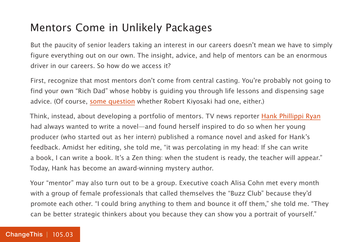#### Mentors Come in Unlikely Packages

But the paucity of senior leaders taking an interest in our careers doesn't mean we have to simply figure everything out on our own. The insight, advice, and help of mentors can be an enormous driver in our careers. So how do we access it?

First, recognize that most mentors don't come from central casting. You're probably not going to find your own "Rich Dad" whose hobby is guiding you through life lessons and dispensing sage advice. (Of course, [some question](http://www.slate.com/articles/arts/number_1/2002/06/if_i_were_a_rich_dad.html) whether Robert Kiyosaki had one, either.)

Think, instead, about developing a portfolio of mentors. TV news reporter [Hank Phillippi Ryan](http://www.hankphillippiryan.com/) had always wanted to write a novel—and found herself inspired to do so when her young producer (who started out as her intern) published a romance novel and asked for Hank's feedback. Amidst her editing, she told me, "it was percolating in my head: If she can write a book, I can write a book. It's a Zen thing: when the student is ready, the teacher will appear." Today, Hank has become an award-winning mystery author.

Your "mentor" may also turn out to be a group. Executive coach Alisa Cohn met every month with a group of female professionals that called themselves the "Buzz Club" because they'd promote each other. "I could bring anything to them and bounce it off them," she told me. "They can be better strategic thinkers about you because they can show you a portrait of yourself."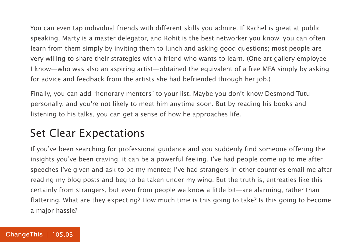You can even tap individual friends with different skills you admire. If Rachel is great at public speaking, Marty is a master delegator, and Rohit is the best networker you know, you can often learn from them simply by inviting them to lunch and asking good questions; most people are very willing to share their strategies with a friend who wants to learn. (One art gallery employee I know—who was also an aspiring artist—obtained the equivalent of a free MFA simply by asking for advice and feedback from the artists she had befriended through her job.)

Finally, you can add "honorary mentors" to your list. Maybe you don't know Desmond Tutu personally, and you're not likely to meet him anytime soon. But by reading his books and listening to his talks, you can get a sense of how he approaches life.

### Set Clear Expectations

If you've been searching for professional guidance and you suddenly find someone offering the insights you've been craving, it can be a powerful feeling. I've had people come up to me after speeches I've given and ask to be my mentee; I've had strangers in other countries email me after reading my blog posts and beg to be taken under my wing. But the truth is, entreaties like this certainly from strangers, but even from people we know a little bit—are alarming, rather than flattering. What are they expecting? How much time is this going to take? Is this going to become a major hassle?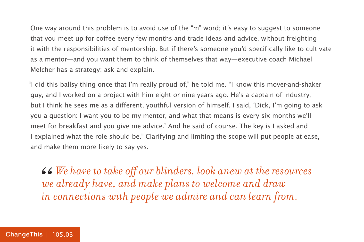One way around this problem is to avoid use of the "m" word; it's easy to suggest to someone that you meet up for coffee every few months and trade ideas and advice, without freighting it with the responsibilities of mentorship. But if there's someone you'd specifically like to cultivate as a mentor—and you want them to think of themselves that way—executive coach Michael Melcher has a strategy: ask and explain.

"I did this ballsy thing once that I'm really proud of," he told me. "I know this mover-and-shaker guy, and I worked on a project with him eight or nine years ago. He's a captain of industry, but I think he sees me as a different, youthful version of himself. I said, 'Dick, I'm going to ask you a question: I want you to be my mentor, and what that means is every six months we'll meet for breakfast and you give me advice.' And he said of course. The key is I asked and I explained what the role should be." Clarifying and limiting the scope will put people at ease, and make them more likely to say yes.

*We have to take off our blinders, look anew at the resources we already have, and make plans to welcome and draw in connections with people we admire and can learn from.* 66<br> *we*<br> *in*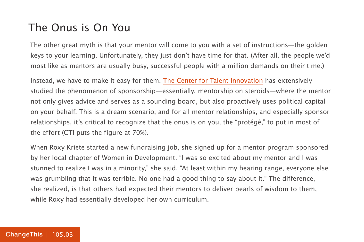#### The Onus is On You

The other great myth is that your mentor will come to you with a set of instructions—the golden keys to your learning. Unfortunately, they just don't have time for that. (After all, the people we'd most like as mentors are usually busy, successful people with a million demands on their time.)

Instead, we have to make it easy for them. [The Center for Talent Innovation](http://www.worklifepolicy.org/) has extensively studied the phenomenon of sponsorship—essentially, mentorship on steroids—where the mentor not only gives advice and serves as a sounding board, but also proactively uses political capital on your behalf. This is a dream scenario, and for all mentor relationships, and especially sponsor relationships, it's critical to recognize that the onus is on you, the "protégé," to put in most of the effort (CTI puts the figure at 70%).

When Roxy Kriete started a new fundraising job, she signed up for a mentor program sponsored by her local chapter of Women in Development. "I was so excited about my mentor and I was stunned to realize I was in a minority," she said. "At least within my hearing range, everyone else was grumbling that it was terrible. No one had a good thing to say about it." The difference, she realized, is that others had expected their mentors to deliver pearls of wisdom to them, while Roxy had essentially developed her own curriculum.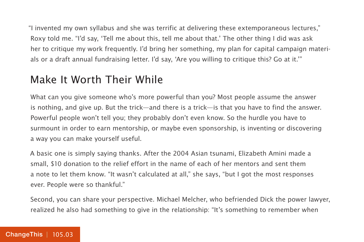"I invented my own syllabus and she was terrific at delivering these extemporaneous lectures," Roxy told me. "I'd say, 'Tell me about this, tell me about that.' The other thing I did was ask her to critique my work frequently. I'd bring her something, my plan for capital campaign materials or a draft annual fundraising letter. I'd say, 'Are you willing to critique this? Go at it.'"

#### Make It Worth Their While

What can you give someone who's more powerful than you? Most people assume the answer is nothing, and give up. But the trick—and there is a trick—is that you have to find the answer. Powerful people won't tell you; they probably don't even know. So the hurdle you have to surmount in order to earn mentorship, or maybe even sponsorship, is inventing or discovering a way you can make yourself useful.

A basic one is simply saying thanks. After the 2004 Asian tsunami, Elizabeth Amini made a small, \$10 donation to the relief effort in the name of each of her mentors and sent them a note to let them know. "It wasn't calculated at all," she says, "but I got the most responses ever. People were so thankful."

Second, you can share your perspective. Michael Melcher, who befriended Dick the power lawyer, realized he also had something to give in the relationship: "It's something to remember when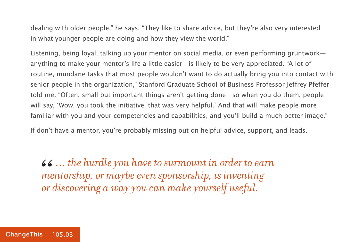dealing with older people," he says. "They like to share advice, but they're also very interested in what younger people are doing and how they view the world."

Listening, being loyal, talking up your mentor on social media, or even performing gruntwork anything to make your mentor's life a little easier—is likely to be very appreciated. "A lot of routine, mundane tasks that most people wouldn't want to do actually bring you into contact with senior people in the organization," Stanford Graduate School of Business Professor Jeffrey Pfeffer told me. "Often, small but important things aren't getting done—so when you do them, people will say, 'Wow, you took the initiative; that was very helpful.' And that will make people more familiar with you and your competencies and capabilities, and you'll build a much better image."

If don't have a mentor, you're probably missing out on helpful advice, support, and leads.

**46** ... the hurdle you have to surmount in order to earn mentorship, or maybe even sponsorship, is inventing or discovering a way you can make yourself useful. *mentorship, or maybe even sponsorship, is inventing or discovering a way you can make yourself useful.*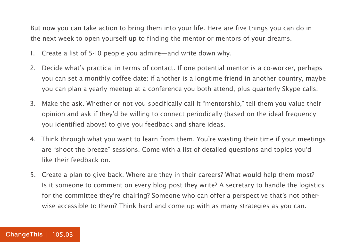But now you can take action to bring them into your life. Here are five things you can do in the next week to open yourself up to finding the mentor or mentors of your dreams.

- 1. Create a list of 5-10 people you admire—and write down why.
- 2. Decide what's practical in terms of contact. If one potential mentor is a co-worker, perhaps you can set a monthly coffee date; if another is a longtime friend in another country, maybe you can plan a yearly meetup at a conference you both attend, plus quarterly Skype calls.
- 3. Make the ask. Whether or not you specifically call it "mentorship," tell them you value their opinion and ask if they'd be willing to connect periodically (based on the ideal frequency you identified above) to give you feedback and share ideas.
- 4. Think through what you want to learn from them. You're wasting their time if your meetings are "shoot the breeze" sessions. Come with a list of detailed questions and topics you'd like their feedback on.
- 5. Create a plan to give back. Where are they in their careers? What would help them most? Is it someone to comment on every blog post they write? A secretary to handle the logistics for the committee they're chairing? Someone who can offer a perspective that's not otherwise accessible to them? Think hard and come up with as many strategies as you can.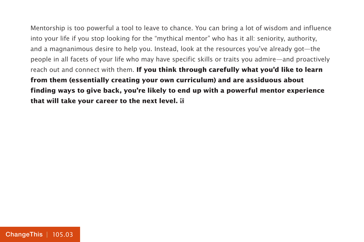Mentorship is too powerful a tool to leave to chance. You can bring a lot of wisdom and influence into your life if you stop looking for the "mythical mentor" who has it all: seniority, authority, and a magnanimous desire to help you. Instead, look at the resources you've already got—the people in all facets of your life who may have specific skills or traits you admire—and proactively reach out and connect with them. **If you think through carefully what you'd like to learn from them (essentially creating your own curriculum) and are assiduous about finding ways to give back, you're likely to end up with a powerful mentor experience that will take your career to the next level.**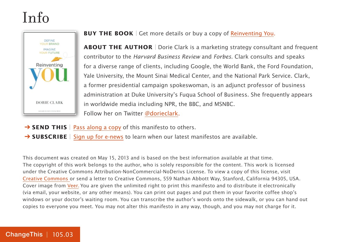### Info



#### **BUY THE BOOK** | Get more details or buy a copy of [Reinventing You.](http://800ceoread.com/book/show/9781422144138-Reinventing_You)

**ABOUT THE AUTHOR** | Dorie Clark is a marketing strategy consultant and frequent contributor to the Harvard Business Review and Forbes. Clark consults and speaks for a diverse range of clients, including Google, the World Bank, the Ford Foundation, Yale University, the Mount Sinai Medical Center, and the National Park Service. Clark, a former presidential campaign spokeswoman, is an adjunct professor of business administration at Duke University's Fuqua School of Business. She frequently appears in worldwide media including NPR, the BBC, and MSNBC. Follow her on Twitter [@dorieclark.](https://twitter.com/dorieclark)

- → **SEND THIS** | [Pass along a copy](http://www.changethis.com/105.03.ReinventingYou /email) of this manifesto to others.
- **→ SUBSCRIBE** | Sign up fo[r e-news](http://changethis.com/page/show/e_mail_newsletter) to learn when our latest manifestos are available.

This document was created on May 15, 2013 and is based on the best information available at that time. The copyright of this work belongs to the author, who is solely responsible for the content. This work is licensed under the Creative Commons Attribution-NonCommercial-NoDerivs License. To view a copy of this license, visit [Creative Commons](http://creativecommons.org/licenses/by-nc-nd/2.0/) or send a letter to Creative Commons, 559 Nathan Abbott Way, Stanford, California 94305, USA. Cover image from [Veer.](http://www.veer.com/) You are given the unlimited right to print this manifesto and to distribute it electronically (via email, your website, or any other means). You can print out pages and put them in your favorite coffee shop's windows or your doctor's waiting room. You can transcribe the author's words onto the sidewalk, or you can hand out copies to everyone you meet. You may not alter this manifesto in any way, though, and you may not charge for it.